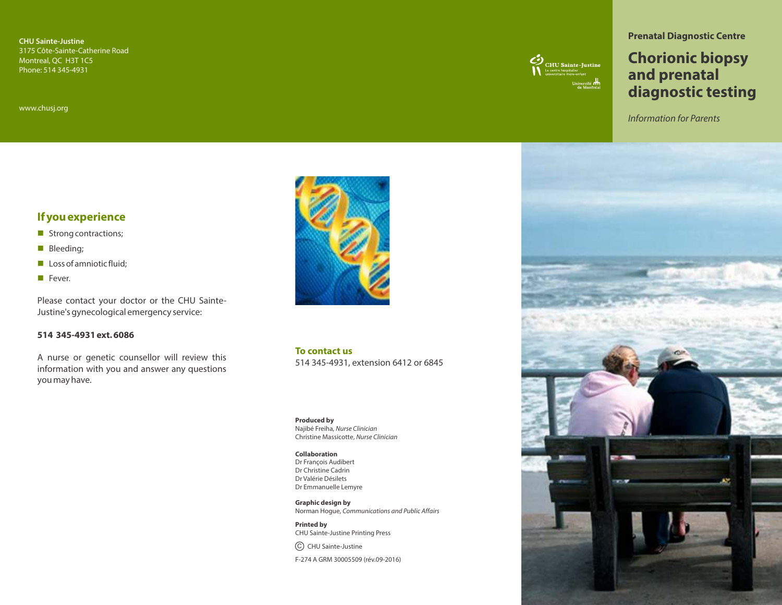**CHU Sainte-Justine** 3175 Côte-Sainte-Catherine Road Montreal, QC H3T 1C5 Phone: 514 345-4931

www.chusj.org

# $\bigotimes_{\text{LHC}}$  CHU Sainte-Justine

#### **Prenatal Diagnostic Centre**

# **Chorionic biopsy and prenatal diagnostic testing**

Information for Parents

## **If you experience**

- **n** Strong contractions;
- **Bleeding;**
- $\blacksquare$  Loss of amniotic fluid:
- Fever.

Please contact your doctor or the CHU Sainte-Justine's gynecological emergency service:

#### **514 345-4931 ext. 6086**

A nurse or genetic counsellor will review this information with you and answer any questions you may have.



**To contact us** 514 345-4931, extension 6412 or 6845

**Produced by** Najibé Freiha, Nurse Clinician Christine Massicotte, Nurse Clinician

#### **Collaboration**

Dr François Audibert Dr Christine Cadrin Dr Valérie Désilets Dr Emmanuelle Lemyre

**Graphic design by** Norman Hogue, Communications and Public Affairs

**Printed by**  CHU Sainte-Justine Printing Press

C) CHU Sainte-Justine

F-274 A GRM 30005509 (rév.09-2016)